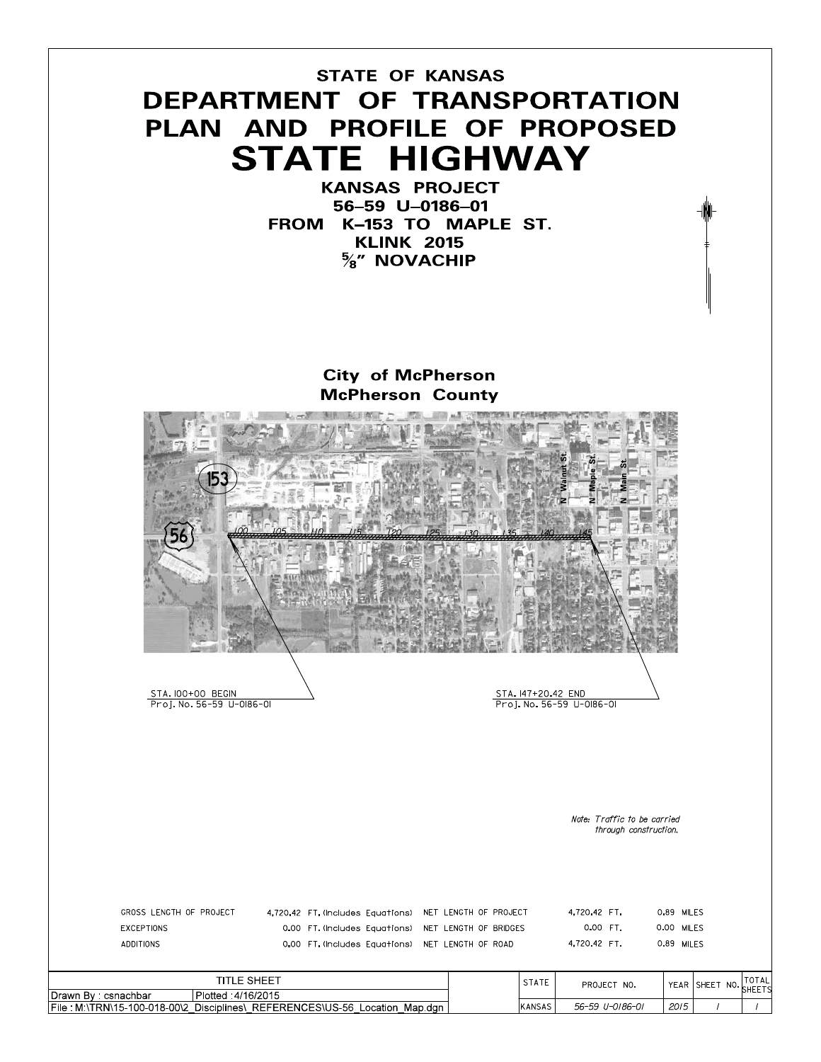## **STATE OF KANSAS** DEPARTMENT OF TRANSPORTATION PLAN AND PROFILE OF PROPOSED **STATE HIGHWAY**

**KANSAS PROJECT** 56-59 U-0186-01 FROM K-153 TO MAPLE ST. **KLINK 2015**  $\frac{5}{8}$ " NOVACHIP

### **City of McPherson McPherson County**



TOTAL

SHEETS

 $\sqrt{ }$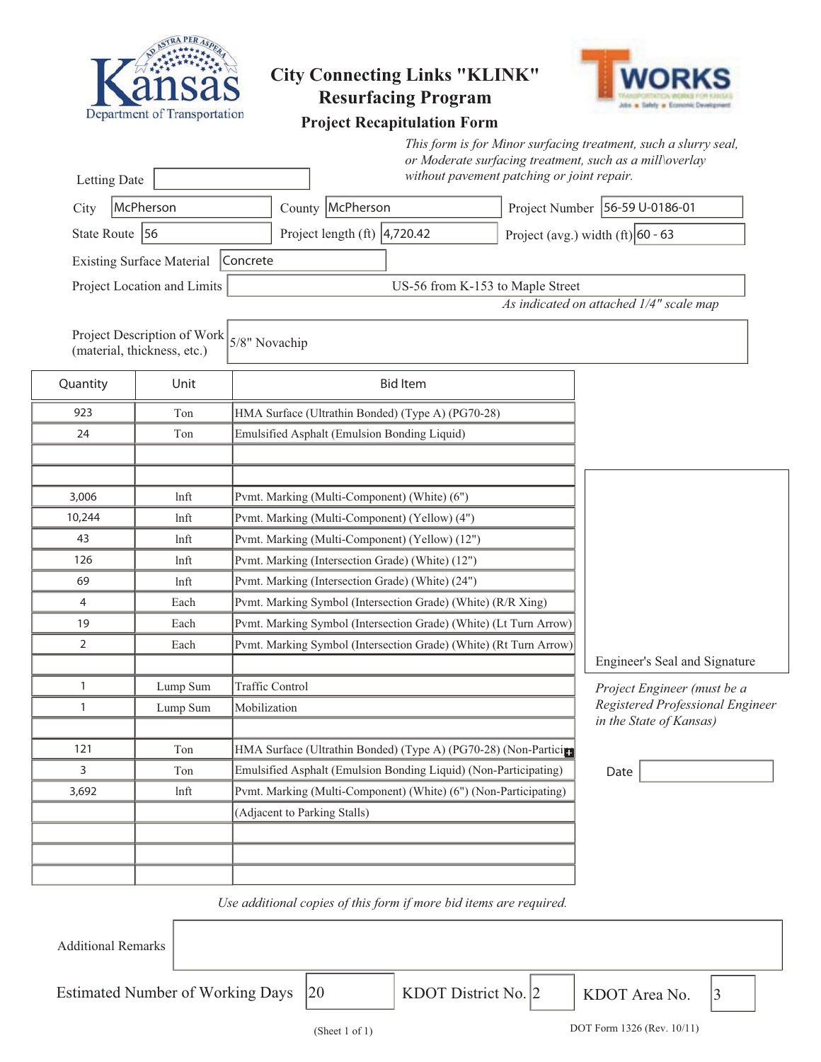

# **City Connecting Links "KLINK"**



### **Project Recapitulation Form**

|                                                                             |                                    |                                                                   |                                                                   |                 | This form is for Minor surfacing treatment, such a slurry seal,<br>or Moderate surfacing treatment, such as a mill\overlay |                                     |                                         |  |  |
|-----------------------------------------------------------------------------|------------------------------------|-------------------------------------------------------------------|-------------------------------------------------------------------|-----------------|----------------------------------------------------------------------------------------------------------------------------|-------------------------------------|-----------------------------------------|--|--|
| Letting Date                                                                |                                    |                                                                   |                                                                   |                 | without pavement patching or joint repair.                                                                                 |                                     |                                         |  |  |
| City                                                                        | McPherson                          |                                                                   | County McPherson                                                  |                 | Project Number 56-59 U-0186-01                                                                                             |                                     |                                         |  |  |
| State Route 56                                                              |                                    |                                                                   | Project length $(ft)$ 4,720.42                                    |                 |                                                                                                                            | Project (avg.) width $(ft)$ 60 - 63 |                                         |  |  |
|                                                                             | Existing Surface Material Concrete |                                                                   |                                                                   |                 |                                                                                                                            |                                     |                                         |  |  |
|                                                                             |                                    |                                                                   |                                                                   |                 |                                                                                                                            |                                     |                                         |  |  |
| Project Location and Limits<br>US-56 from K-153 to Maple Street             |                                    |                                                                   |                                                                   |                 |                                                                                                                            |                                     | As indicated on attached 1/4" scale map |  |  |
| Project Description of Work<br>5/8" Novachip<br>(material, thickness, etc.) |                                    |                                                                   |                                                                   |                 |                                                                                                                            |                                     |                                         |  |  |
| Quantity                                                                    | Unit                               |                                                                   |                                                                   | <b>Bid Item</b> |                                                                                                                            |                                     |                                         |  |  |
| 923                                                                         | Ton                                |                                                                   | HMA Surface (Ultrathin Bonded) (Type A) (PG70-28)                 |                 |                                                                                                                            |                                     |                                         |  |  |
| 24                                                                          | Ton                                |                                                                   | Emulsified Asphalt (Emulsion Bonding Liquid)                      |                 |                                                                                                                            |                                     |                                         |  |  |
|                                                                             |                                    |                                                                   |                                                                   |                 |                                                                                                                            |                                     |                                         |  |  |
|                                                                             |                                    |                                                                   |                                                                   |                 |                                                                                                                            |                                     |                                         |  |  |
| 3,006                                                                       | lnft                               |                                                                   | Pvmt. Marking (Multi-Component) (White) (6")                      |                 |                                                                                                                            |                                     |                                         |  |  |
| 10,244                                                                      | lnft                               | Pvmt. Marking (Multi-Component) (Yellow) (4")                     |                                                                   |                 |                                                                                                                            |                                     |                                         |  |  |
| 43                                                                          | lnft                               | Pvmt. Marking (Multi-Component) (Yellow) (12")                    |                                                                   |                 |                                                                                                                            |                                     |                                         |  |  |
| 126                                                                         | lnft                               | Pvmt. Marking (Intersection Grade) (White) (12")                  |                                                                   |                 |                                                                                                                            |                                     |                                         |  |  |
| 69                                                                          | lnft                               | Pvmt. Marking (Intersection Grade) (White) (24")                  |                                                                   |                 |                                                                                                                            |                                     |                                         |  |  |
| 4                                                                           | Each                               | Pvmt. Marking Symbol (Intersection Grade) (White) (R/R Xing)      |                                                                   |                 |                                                                                                                            |                                     |                                         |  |  |
| 19                                                                          | Each                               | Pvmt. Marking Symbol (Intersection Grade) (White) (Lt Turn Arrow) |                                                                   |                 |                                                                                                                            |                                     |                                         |  |  |
| 2                                                                           | Each                               |                                                                   | Pvmt. Marking Symbol (Intersection Grade) (White) (Rt Turn Arrow) |                 |                                                                                                                            |                                     |                                         |  |  |
|                                                                             |                                    |                                                                   |                                                                   |                 |                                                                                                                            |                                     | Engineer's Seal and Signature           |  |  |
| 1                                                                           | Lump Sum                           |                                                                   | Traffic Control                                                   |                 |                                                                                                                            |                                     | Project Engineer (must be a             |  |  |
| 1                                                                           | Lump Sum                           |                                                                   | Mobilization                                                      |                 |                                                                                                                            |                                     | Registered Professional Engineer        |  |  |
|                                                                             |                                    |                                                                   |                                                                   |                 |                                                                                                                            |                                     | in the State of Kansas)                 |  |  |
| 121                                                                         | Ton                                | HMA Surface (Ultrathin Bonded) (Type A) (PG70-28) (Non-Particips  |                                                                   |                 |                                                                                                                            |                                     |                                         |  |  |
| 3                                                                           | Ton                                | Emulsified Asphalt (Emulsion Bonding Liquid) (Non-Participating)  |                                                                   |                 |                                                                                                                            | Date                                |                                         |  |  |
| 3,692                                                                       | ln <sup>f</sup>                    |                                                                   |                                                                   |                 | Pvmt. Marking (Multi-Component) (White) (6") (Non-Participating)                                                           |                                     |                                         |  |  |
|                                                                             |                                    |                                                                   | (Adjacent to Parking Stalls)                                      |                 |                                                                                                                            |                                     |                                         |  |  |
|                                                                             |                                    |                                                                   |                                                                   |                 |                                                                                                                            |                                     |                                         |  |  |
|                                                                             |                                    |                                                                   |                                                                   |                 |                                                                                                                            |                                     |                                         |  |  |
|                                                                             |                                    |                                                                   |                                                                   |                 |                                                                                                                            |                                     |                                         |  |  |

#### *Use additional copies of this form if more bid items are required.*

Additional Remarks

Estimated Number of Working Days  $\begin{array}{|l|l|}\n\hline\n\end{array}$  KDOT District No.  $\begin{array}{|l|l|}\n\hline\n\end{array}$  KDOT Area No.

KDOT District No. 2 | KDOT Area No. | 3